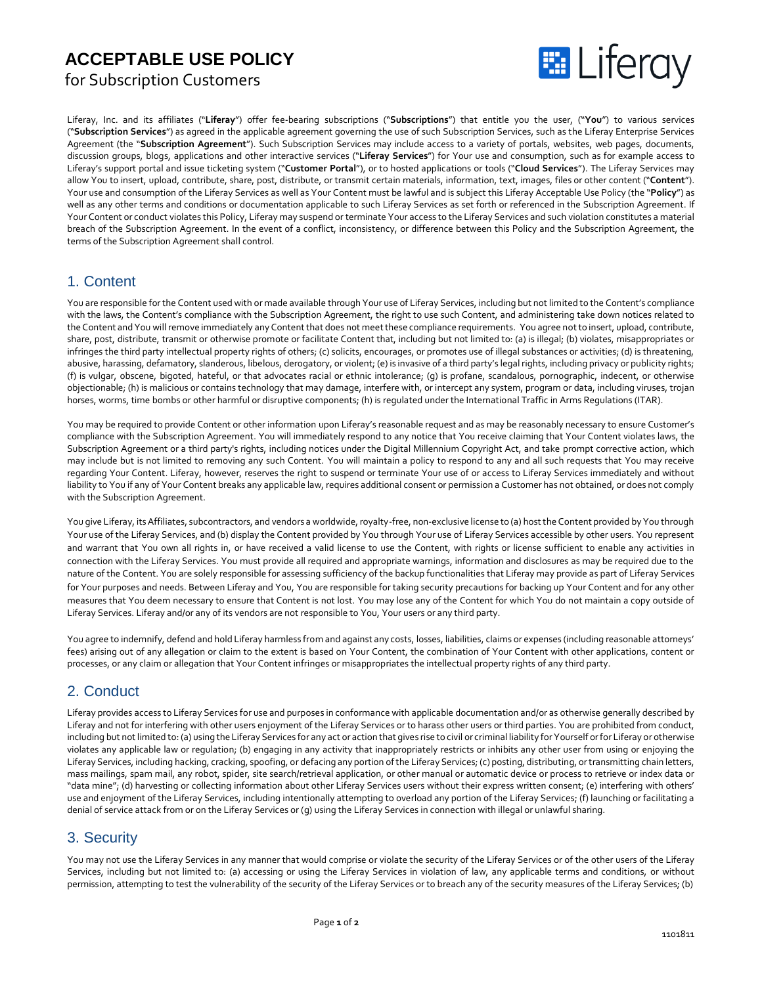# **ACCEPTABLE USE POLICY**

for Subscription Customers



Liferay, Inc. and its affiliates ("**Liferay**") offer fee-bearing subscriptions ("**Subscriptions**") that entitle you the user, ("**You**") to various services ("**Subscription Services**") as agreed in the applicable agreement governing the use of such Subscription Services, such as the Liferay Enterprise Services Agreement (the "**Subscription Agreement**"). Such Subscription Services may include access to a variety of portals, websites, web pages, documents, discussion groups, blogs, applications and other interactive services ("**Liferay Services**") for Your use and consumption, such as for example access to Liferay's support portal and issue ticketing system ("**Customer Portal**"), or to hosted applications or tools ("**Cloud Services**"). The Liferay Services may allow You to insert, upload, contribute, share, post, distribute, or transmit certain materials, information, text, images, files or other content ("**Content**"). Your use and consumption of the Liferay Services as well as Your Content must be lawful and is subject this Liferay Acceptable Use Policy (the "**Policy**") as well as any other terms and conditions or documentation applicable to such Liferay Services as set forth or referenced in the Subscription Agreement. If Your Content or conduct violates this Policy, Liferay may suspend or terminate Your access to the Liferay Services and such violation constitutes a material breach of the Subscription Agreement. In the event of a conflict, inconsistency, or difference between this Policy and the Subscription Agreement, the terms of the Subscription Agreement shall control.

# 1. Content

You are responsible forthe Content used with or made available through Your use of Liferay Services, including but not limited to the Content's compliance with the laws, the Content's compliance with the Subscription Agreement, the right to use such Content, and administering take down notices related to the Content and You will remove immediately any Content that does not meet these compliance requirements. You agree not to insert, upload, contribute, share, post, distribute, transmit or otherwise promote or facilitate Content that, including but not limited to: (a) is illegal; (b) violates, misappropriates or infringes the third party intellectual property rights of others; (c) solicits, encourages, or promotes use of illegal substances or activities; (d) is threatening, abusive, harassing, defamatory, slanderous, libelous, derogatory, or violent; (e) is invasive of a third party's legal rights, including privacy or publicity rights; (f) is vulgar, obscene, bigoted, hateful, or that advocates racial or ethnic intolerance; (g) is profane, scandalous, pornographic, indecent, or otherwise objectionable; (h) is malicious or contains technology that may damage, interfere with, or intercept any system, program or data, including viruses, trojan horses, worms, time bombs or other harmful or disruptive components; (h) is regulated under the International Traffic in Arms Regulations (ITAR).

You may be required to provide Content or other information upon Liferay's reasonable request and as may be reasonably necessary to ensure Customer's compliance with the Subscription Agreement. You will immediately respond to any notice that You receive claiming that Your Content violates laws, the Subscription Agreement or a third party's rights, including notices under the Digital Millennium Copyright Act, and take prompt corrective action, which may include but is not limited to removing any such Content. You will maintain a policy to respond to any and all such requests that You may receive regarding Your Content. Liferay, however, reserves the right to suspend or terminate Your use of or access to Liferay Services immediately and without liability to You if any of Your Content breaks any applicable law, requires additional consent or permission a Customer has not obtained, or does not comply with the Subscription Agreement.

You give Liferay, its Affiliates, subcontractors, and vendors a worldwide, royalty-free, non-exclusive license to (a) host the Content provided by You through Your use of the Liferay Services, and (b) display the Content provided by You through Your use of Liferay Services accessible by other users. You represent and warrant that You own all rights in, or have received a valid license to use the Content, with rights or license sufficient to enable any activities in connection with the Liferay Services. You must provide all required and appropriate warnings, information and disclosures as may be required due to the nature of the Content. You are solely responsible for assessing sufficiency of the backup functionalities that Liferay may provide as part of Liferay Services for Your purposes and needs. Between Liferay and You, You are responsible for taking security precautions for backing up Your Content and for any other measures that You deem necessary to ensure that Content is not lost. You may lose any of the Content for which You do not maintain a copy outside of Liferay Services. Liferay and/or any of its vendors are not responsible to You, Your users or any third party.

You agree to indemnify, defend and hold Liferay harmless from and against any costs, losses, liabilities, claims or expenses (including reasonable attorneys' fees) arising out of any allegation or claim to the extent is based on Your Content, the combination of Your Content with other applications, content or processes, or any claim or allegation that Your Content infringes or misappropriates the intellectual property rights of any third party.

# 2. Conduct

Liferay provides access to Liferay Services for use and purposes in conformance with applicable documentation and/or as otherwise generally described by Liferay and not for interfering with other users enjoyment of the Liferay Services or to harass other users or third parties. You are prohibited from conduct, including but not limited to: (a) using the Liferay Services for any act or action that gives rise to civil or criminal liability for Yourself or for Liferay or otherwise violates any applicable law or regulation; (b) engaging in any activity that inappropriately restricts or inhibits any other user from using or enjoying the Liferay Services, including hacking, cracking, spoofing, or defacing any portion ofthe Liferay Services; (c) posting, distributing, ortransmitting chain letters, mass mailings, spam mail, any robot, spider, site search/retrieval application, or other manual or automatic device or process to retrieve or index data or "data mine"; (d) harvesting or collecting information about other Liferay Services users without their express written consent; (e) interfering with others' use and enjoyment of the Liferay Services, including intentionally attempting to overload any portion of the Liferay Services; (f) launching or facilitating a denial of service attack from or on the Liferay Services or (g) using the Liferay Services in connection with illegal or unlawful sharing.

# 3. Security

You may not use the Liferay Services in any manner that would comprise or violate the security of the Liferay Services or of the other users of the Liferay Services, including but not limited to: (a) accessing or using the Liferay Services in violation of law, any applicable terms and conditions, or without permission, attempting to test the vulnerability of the security of the Liferay Services or to breach any of the security measures of the Liferay Services; (b)